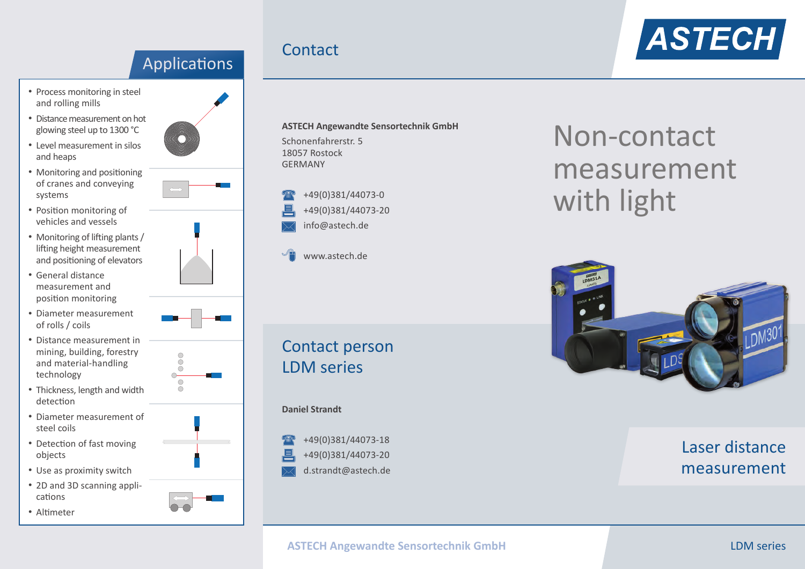### Applications

- Process monitoring in steel and rolling mills
- • Distance measurement on hot glowing steel up to 1300 °C
- • Level measurement in silos and heaps
- Monitoring and positioning of cranes and conveying systems
- Position monitoring of vehicles and vessels
- Monitoring of lifting plants / lifting height measurement and positioning of elevators
- • General distance measurement and position monitoring
- • Diameter measurement of rolls / coils
- • Distance measurement in mining, building, forestry and material-handling technology
- Thickness, length and width detection
- • Diameter measurement of steel coils
- Detection of fast moving objects
- Use as proximity switch
- 2D and 3D scanning applications
- Altimeter





- 
- - $000$  $\bigcirc$  $\overline{O}$
	-
	-
- 
- 
- 







**ASTECH Angewandte Sensortechnik GmbH** Schonenfahrerstr. 5 18057 Rostock GERMANY



**Contact** 

www.astech.de

Contact person LDM series

#### **Daniel Strandt**

+49(0)381/44073-18 +49(0)381/44073-20 d.strandt@astech.de

# Non-contact measurement with light



Laser distance measurement

### **ASTECH Angewandte Sensortechnik GmbH LOM series LDM series**

# **ASTECH**